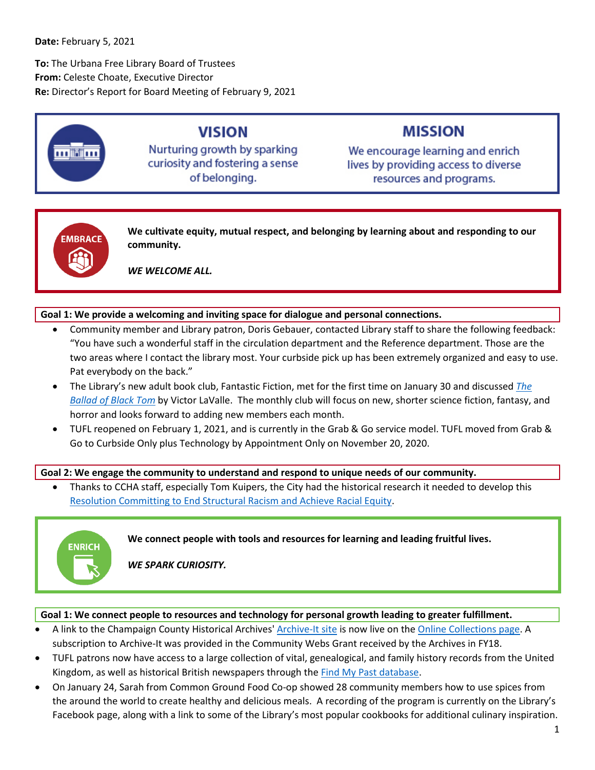**To:** The Urbana Free Library Board of Trustees **From:** Celeste Choate, Executive Director **Re:** Director's Report for Board Meeting of February 9, 2021



# **VISION**

Nurturing growth by sparking curiosity and fostering a sense of belonging.

# **MISSION**

We encourage learning and enrich lives by providing access to diverse resources and programs.



**We cultivate equity, mutual respect, and belonging by learning about and responding to our community.**

*WE WELCOME ALL.*

### **Goal 1: We provide a welcoming and inviting space for dialogue and personal connections.**

- Community member and Library patron, Doris Gebauer, contacted Library staff to share the following feedback: "You have such a wonderful staff in the circulation department and the Reference department. Those are the two areas where I contact the library most. Your curbside pick up has been extremely organized and easy to use. Pat everybody on the back."
- The Library's new adult book club, Fantastic Fiction, met for the first time on January 30 and discussed *[The](https://cucatalog.org/polaris/search/searchresults.aspx?ctx=6.1033.0.0.1&type=Keyword&term=%22ballad%20of%20black%20tom%22&by=TI&sort=RELEVANCE&limit=TOM=*&query=&page=0&searchid=1)  [Ballad of Black Tom](https://cucatalog.org/polaris/search/searchresults.aspx?ctx=6.1033.0.0.1&type=Keyword&term=%22ballad%20of%20black%20tom%22&by=TI&sort=RELEVANCE&limit=TOM=*&query=&page=0&searchid=1)* by Victor LaValle. The monthly club will focus on new, shorter science fiction, fantasy, and horror and looks forward to adding new members each month.
- TUFL reopened on February 1, 2021, and is currently in the Grab & Go service model. TUFL moved from Grab & Go to Curbside Only plus Technology by Appointment Only on November 20, 2020.

#### **Goal 2: We engage the community to understand and respond to unique needs of our community.**

• Thanks to CCHA staff, especially Tom Kuipers, the City had the historical research it needed to develop this [Resolution Committing to End Structural Racism and Achieve Racial Equity.](https://www.urbanaillinois.us/sites/default/files/attachments/Resolution_2021-02-005R.pdf)



**We connect people with tools and resources for learning and leading fruitful lives.**

*WE SPARK CURIOSITY.*

#### **Goal 1: We connect people to resources and technology for personal growth leading to greater fulfillment.**

- A link to the Champaign County Historical Archives' [Archive-It site](https://archive-it.org/collections/9555) is now live on the [Online Collections page.](https://urbanafreelibrary.org/local-history-genealogy/online-collections) A subscription to Archive-It was provided in the Community Webs Grant received by the Archives in FY18.
- TUFL patrons now have access to a large collection of vital, genealogical, and family history records from the United Kingdom, as well as historical British newspapers through the [Find My Past database.](https://www.findmypast.com/)
- On January 24, Sarah from Common Ground Food Co-op showed 28 community members how to use spices from the around the world to create healthy and delicious meals. A recording of the program is currently on the Library's Facebook page, along with a link to some of the Library's most popular cookbooks for additional culinary inspiration.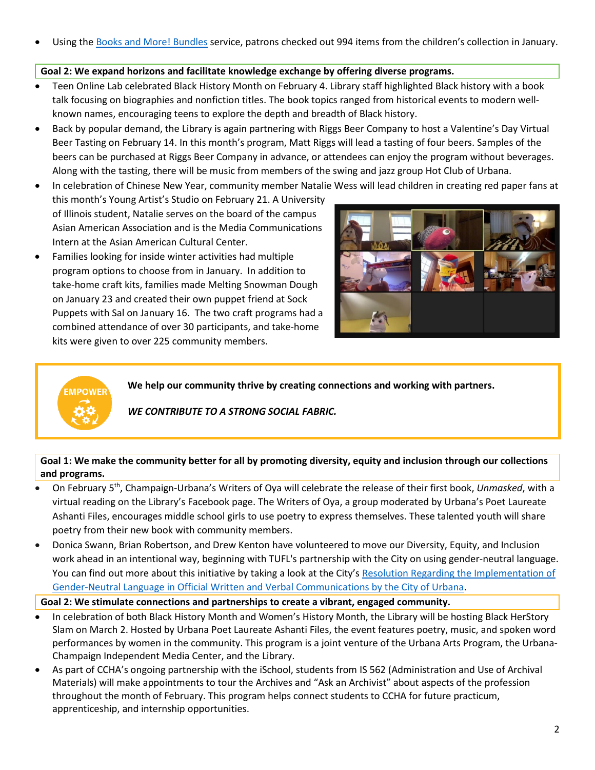Using the [Books and More! Bundles](https://urbanafreelibrary.org/children/parents-teachers) service, patrons checked out 994 items from the children's collection in January.

#### **Goal 2: We expand horizons and facilitate knowledge exchange by offering diverse programs.**

- Teen Online Lab celebrated Black History Month on February 4. Library staff highlighted Black history with a book talk focusing on biographies and nonfiction titles. The book topics ranged from historical events to modern wellknown names, encouraging teens to explore the depth and breadth of Black history.
- Back by popular demand, the Library is again partnering with Riggs Beer Company to host a Valentine's Day Virtual Beer Tasting on February 14. In this month's program, Matt Riggs will lead a tasting of four beers. Samples of the beers can be purchased at Riggs Beer Company in advance, or attendees can enjoy the program without beverages. Along with the tasting, there will be music from members of the swing and jazz group Hot Club of Urbana.
- In celebration of Chinese New Year, community member Natalie Wess will lead children in creating red paper fans at this month's Young Artist's Studio on February 21. A University of Illinois student, Natalie serves on the board of the campus Asian American Association and is the Media Communications Intern at the Asian American Cultural Center.
- Families looking for inside winter activities had multiple program options to choose from in January. In addition to take-home craft kits, families made Melting Snowman Dough on January 23 and created their own puppet friend at Sock Puppets with Sal on January 16. The two craft programs had a combined attendance of over 30 participants, and take-home kits were given to over 225 community members.

**EMPOWE** 



**We help our community thrive by creating connections and working with partners.**

## *WE CONTRIBUTE TO A STRONG SOCIAL FABRIC.*

**Goal 1: We make the community better for all by promoting diversity, equity and inclusion through our collections and programs.**

- On February 5th, Champaign-Urbana's Writers of Oya will celebrate the release of their first book, *Unmasked*, with a virtual reading on the Library's Facebook page. The Writers of Oya, a group moderated by Urbana's Poet Laureate Ashanti Files, encourages middle school girls to use poetry to express themselves. These talented youth will share poetry from their new book with community members.
- Donica Swann, Brian Robertson, and Drew Kenton have volunteered to move our Diversity, Equity, and Inclusion work ahead in an intentional way, beginning with TUFL's partnership with the City on using gender-neutral language. You can find out more about this initiative by taking a look at the City'[s Resolution Regarding the Implementation of](https://urbanaillinois.us/sites/default/files/attachments/Resolution_2021-01-004R_all.pdf)  [Gender-Neutral Language in Official Written and Verbal Communications by the City of Urbana.](https://urbanaillinois.us/sites/default/files/attachments/Resolution_2021-01-004R_all.pdf)

#### **Goal 2: We stimulate connections and partnerships to create a vibrant, engaged community.**

- In celebration of both Black History Month and Women's History Month, the Library will be hosting Black HerStory Slam on March 2. Hosted by Urbana Poet Laureate Ashanti Files, the event features poetry, music, and spoken word performances by women in the community. This program is a joint venture of the Urbana Arts Program, the Urbana-Champaign Independent Media Center, and the Library.
- As part of CCHA's ongoing partnership with the iSchool, students from IS 562 (Administration and Use of Archival Materials) will make appointments to tour the Archives and "Ask an Archivist" about aspects of the profession throughout the month of February. This program helps connect students to CCHA for future practicum, apprenticeship, and internship opportunities.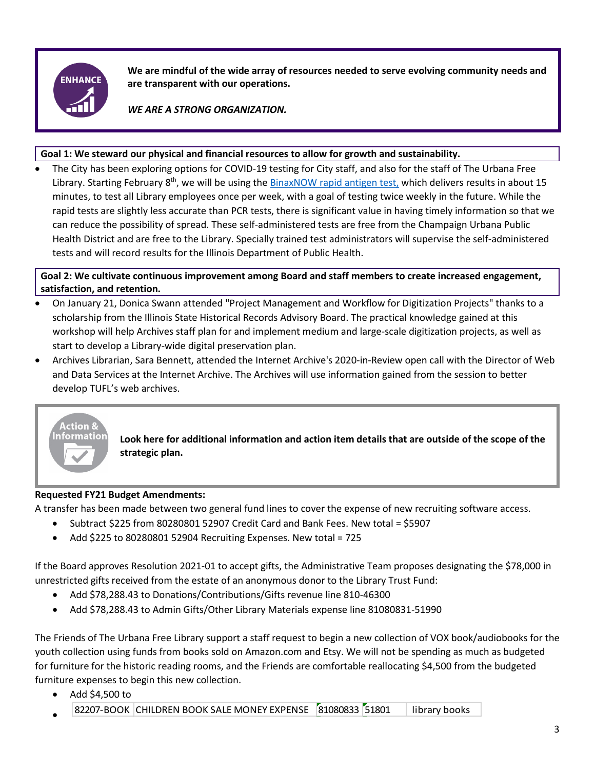

**We are mindful of the wide array of resources needed to serve evolving community needs and are transparent with our operations.**

*WE ARE A STRONG ORGANIZATION.*

#### **Goal 1: We steward our physical and financial resources to allow for growth and sustainability.**

• The City has been exploring options for COVID-19 testing for City staff, and also for the staff of The Urbana Free Library. Starting February 8<sup>th</sup>, we will be using the [BinaxNOW rapid antigen test,](https://www.globalpointofcare.abbott/en/support/product-installation-training/navica-brand/navica-binaxnow-ag-training.html) which delivers results in about 15 minutes, to test all Library employees once per week, with a goal of testing twice weekly in the future. While the rapid tests are slightly less accurate than PCR tests, there is significant value in having timely information so that we can reduce the possibility of spread. These self-administered tests are free from the Champaign Urbana Public Health District and are free to the Library. Specially trained test administrators will supervise the self-administered tests and will record results for the Illinois Department of Public Health.

**Goal 2: We cultivate continuous improvement among Board and staff members to create increased engagement, satisfaction, and retention.**

- On January 21, Donica Swann attended "Project Management and Workflow for Digitization Projects" thanks to a scholarship from the Illinois State Historical Records Advisory Board. The practical knowledge gained at this workshop will help Archives staff plan for and implement medium and large-scale digitization projects, as well as start to develop a Library-wide digital preservation plan.
- Archives Librarian, Sara Bennett, attended the Internet Archive's 2020-in-Review open call with the Director of Web and Data Services at the Internet Archive. The Archives will use information gained from the session to better develop TUFL's web archives.



**Look here for additional information and action item details that are outside of the scope of the strategic plan.**

## **Requested FY21 Budget Amendments:**

A transfer has been made between two general fund lines to cover the expense of new recruiting software access.

- Subtract \$225 from 80280801 52907 Credit Card and Bank Fees. New total = \$5907
- Add \$225 to 80280801 52904 Recruiting Expenses. New total = 725

If the Board approves Resolution 2021-01 to accept gifts, the Administrative Team proposes designating the \$78,000 in unrestricted gifts received from the estate of an anonymous donor to the Library Trust Fund:

- Add \$78,288.43 to Donations/Contributions/Gifts revenue line 810-46300
- Add \$78,288.43 to Admin Gifts/Other Library Materials expense line 81080831-51990

The Friends of The Urbana Free Library support a staff request to begin a new collection of VOX book/audiobooks for the youth collection using funds from books sold on Amazon.com and Etsy. We will not be spending as much as budgeted for furniture for the historic reading rooms, and the Friends are comfortable reallocating \$4,500 from the budgeted furniture expenses to begin this new collection.

- Add \$4,500 to
- 82207-BOOK CHILDREN BOOK SALE MONEY EXPENSE [81080833 51801 | library books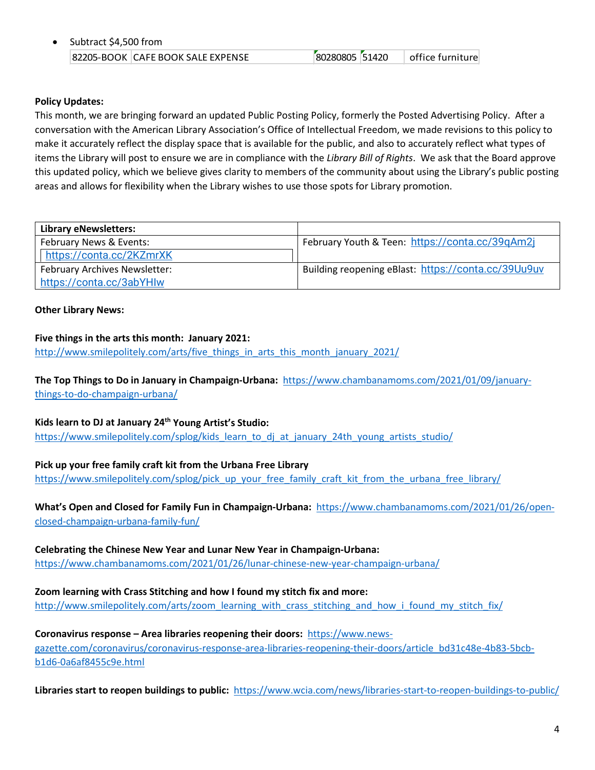| Subtract \$4,500 from |                                   |                |  |                  |  |
|-----------------------|-----------------------------------|----------------|--|------------------|--|
|                       | 82205-BOOK CAFE BOOK SALE EXPENSE | 80280805 51420 |  | office furniture |  |

#### **Policy Updates:**

This month, we are bringing forward an updated Public Posting Policy, formerly the Posted Advertising Policy. After a conversation with the American Library Association's Office of Intellectual Freedom, we made revisions to this policy to make it accurately reflect the display space that is available for the public, and also to accurately reflect what types of items the Library will post to ensure we are in compliance with the *Library Bill of Rights*. We ask that the Board approve this updated policy, which we believe gives clarity to members of the community about using the Library's public posting areas and allows for flexibility when the Library wishes to use those spots for Library promotion.

| <b>Library eNewsletters:</b>         |                                                     |  |  |
|--------------------------------------|-----------------------------------------------------|--|--|
| February News & Events:              | February Youth & Teen: https://conta.cc/39qAm2j     |  |  |
| https://conta.cc/2KZmrXK             |                                                     |  |  |
| <b>February Archives Newsletter:</b> | Building reopening eBlast: https://conta.cc/39Uu9uv |  |  |
| https://conta.cc/3abYHlw             |                                                     |  |  |

#### **Other Library News:**

#### **Five things in the arts this month: January 2021:**

[http://www.smilepolitely.com/arts/five\\_things\\_in\\_arts\\_this\\_month\\_january\\_2021/](http://www.smilepolitely.com/arts/five_things_in_arts_this_month_january_2021/)

**The Top Things to Do in January in Champaign-Urbana:** [https://www.chambanamoms.com/2021/01/09/january](https://www.chambanamoms.com/2021/01/09/january-things-to-do-champaign-urbana/)[things-to-do-champaign-urbana/](https://www.chambanamoms.com/2021/01/09/january-things-to-do-champaign-urbana/)

#### **Kids learn to DJ at January 24th Young Artist's Studio:**

[https://www.smilepolitely.com/splog/kids\\_learn\\_to\\_dj\\_at\\_january\\_24th\\_young\\_artists\\_studio/](https://www.smilepolitely.com/splog/kids_learn_to_dj_at_january_24th_young_artists_studio/)

#### **Pick up your free family craft kit from the Urbana Free Library**

[https://www.smilepolitely.com/splog/pick\\_up\\_your\\_free\\_family\\_craft\\_kit\\_from\\_the\\_urbana\\_free\\_library/](https://www.smilepolitely.com/splog/pick_up_your_free_family_craft_kit_from_the_urbana_free_library/)

## **What's Open and Closed for Family Fun in Champaign-Urbana:** [https://www.chambanamoms.com/2021/01/26/open](https://www.chambanamoms.com/2021/01/26/open-closed-champaign-urbana-family-fun/)[closed-champaign-urbana-family-fun/](https://www.chambanamoms.com/2021/01/26/open-closed-champaign-urbana-family-fun/)

#### **Celebrating the Chinese New Year and Lunar New Year in Champaign-Urbana:**

<https://www.chambanamoms.com/2021/01/26/lunar-chinese-new-year-champaign-urbana/>

#### **Zoom learning with Crass Stitching and how I found my stitch fix and more:**

[http://www.smilepolitely.com/arts/zoom\\_learning\\_with\\_crass\\_stitching\\_and\\_how\\_i\\_found\\_my\\_stitch\\_fix/](http://www.smilepolitely.com/arts/zoom_learning_with_crass_stitching_and_how_i_found_my_stitch_fix/)

# **Coronavirus response – Area libraries reopening their doors:** [https://www.news-](https://www.news-gazette.com/coronavirus/coronavirus-response-area-libraries-reopening-their-doors/article_bd31c48e-4b83-5bcb-b1d6-0a6af8455c9e.html)

[gazette.com/coronavirus/coronavirus-response-area-libraries-reopening-their-doors/article\\_bd31c48e-4b83-5bcb](https://www.news-gazette.com/coronavirus/coronavirus-response-area-libraries-reopening-their-doors/article_bd31c48e-4b83-5bcb-b1d6-0a6af8455c9e.html)[b1d6-0a6af8455c9e.html](https://www.news-gazette.com/coronavirus/coronavirus-response-area-libraries-reopening-their-doors/article_bd31c48e-4b83-5bcb-b1d6-0a6af8455c9e.html)

**Libraries start to reopen buildings to public:** <https://www.wcia.com/news/libraries-start-to-reopen-buildings-to-public/>